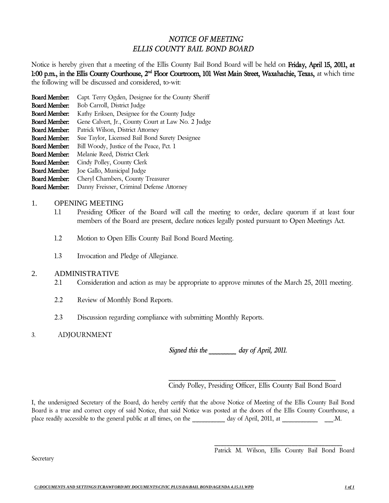## *NOTICE OF MEETING ELLIS COUNTY BAIL BOND BOARD*

Notice is hereby given that a meeting of the Ellis County Bail Bond Board will be held on Friday, April 15, 2011, at 1:00 p.m., in the Ellis County Courthouse, 2<sup>nd</sup> Floor Courtroom, 101 West Main Street, Waxahachie, Texas, at which time the following will be discussed and considered, to-wit:

- Board Member: Capt. Terry Ogden, Designee for the County Sheriff
- Board Member: Bob Carroll, District Judge
- Board Member: Kathy Eriksen, Designee for the County Judge
- Board Member: Gene Calvert, Jr., County Court at Law No. 2 Judge
- Board Member: Patrick Wilson, District Attorney
- Board Member: Sue Taylor, Licensed Bail Bond Surety Designee
- Board Member: Bill Woody, Justice of the Peace, Pct. 1
- Board Member: Melanie Reed, District Clerk
- Board Member: Cindy Polley, County Clerk
- Board Member: Joe Gallo, Municipal Judge
- Board Member: Cheryl Chambers, County Treasurer
- Board Member: Danny Freisner, Criminal Defense Attorney

## 1. OPENING MEETING

- 1.1 Presiding Officer of the Board will call the meeting to order, declare quorum if at least four members of the Board are present, declare notices legally posted pursuant to Open Meetings Act.
- 1.2 Motion to Open Ellis County Bail Bond Board Meeting.
- 1.3 Invocation and Pledge of Allegiance.

## 2. ADMINISTRATIVE

- 2.1 Consideration and action as may be appropriate to approve minutes of the March 25, 2011 meeting.
- 2.2 Review of Monthly Bond Reports.
- 2.3 Discussion regarding compliance with submitting Monthly Reports.

## 3. ADJOURNMENT

*Signed this the \_\_\_\_\_\_\_\_\_ day of April, 2011.*

\_\_\_\_\_\_\_\_\_\_\_\_\_\_\_\_\_\_\_\_\_\_\_\_\_\_\_\_\_\_\_\_\_\_\_\_\_\_\_\_\_\_\_\_\_\_\_\_\_\_\_ Cindy Polley, Presiding Officer, Ellis County Bail Bond Board

I, the undersigned Secretary of the Board, do hereby certify that the above Notice of Meeting of the Ellis County Bail Bond Board is a true and correct copy of said Notice, that said Notice was posted at the doors of the Ellis County Courthouse, a place readily accessible to the general public at all times, on the \_\_\_\_\_\_\_\_ day of April, 2011, at \_\_\_\_\_\_\_\_\_\_\_\_\_ \_\_\_.M.

Patrick M. Wilson, Ellis County Bail Bond Board

\_\_\_\_\_\_\_\_\_\_\_\_\_\_\_\_\_\_\_\_\_\_\_\_\_\_\_\_\_\_\_\_\_\_\_\_\_\_\_\_\_\_\_

Secretary